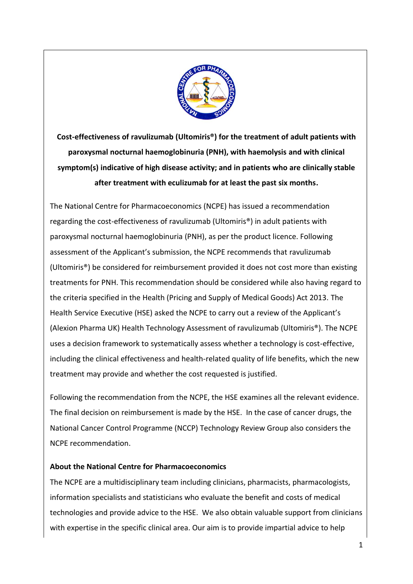

**Cost-effectiveness of ravulizumab (Ultomiris®) for the treatment of adult patients with paroxysmal nocturnal haemoglobinuria (PNH), with haemolysis and with clinical symptom(s) indicative of high disease activity; and in patients who are clinically stable after treatment with eculizumab for at least the past six months.**

The National Centre for Pharmacoeconomics (NCPE) has issued a recommendation regarding the cost-effectiveness of ravulizumab (Ultomiris®) in adult patients with paroxysmal nocturnal haemoglobinuria (PNH), as per the product licence. Following assessment of the Applicant's submission, the NCPE recommends that ravulizumab (Ultomiris®) be considered for reimbursement provided it does not cost more than existing treatments for PNH. This recommendation should be considered while also having regard to the criteria specified in the Health (Pricing and Supply of Medical Goods) Act 2013. The Health Service Executive (HSE) asked the NCPE to carry out a review of the Applicant's (Alexion Pharma UK) Health Technology Assessment of ravulizumab (Ultomiris®). The NCPE uses a decision framework to systematically assess whether a technology is cost-effective, including the clinical effectiveness and health-related quality of life benefits, which the new treatment may provide and whether the cost requested is justified.

Following the recommendation from the NCPE, the HSE examines all the relevant evidence. The final decision on reimbursement is made by the HSE. In the case of cancer drugs, the National Cancer Control Programme (NCCP) Technology Review Group also considers the NCPE recommendation.

## **About the National Centre for Pharmacoeconomics**

The NCPE are a multidisciplinary team including clinicians, pharmacists, pharmacologists, information specialists and statisticians who evaluate the benefit and costs of medical technologies and provide advice to the HSE. We also obtain valuable support from clinicians with expertise in the specific clinical area. Our aim is to provide impartial advice to help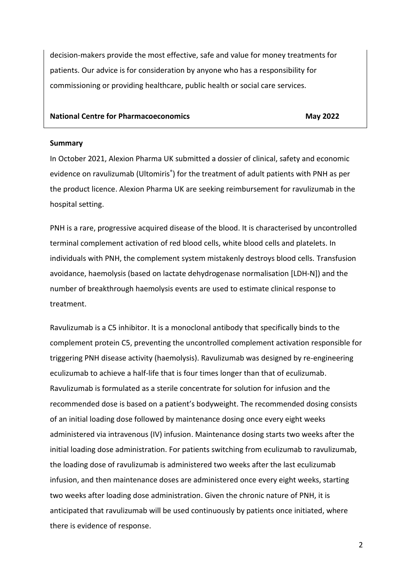decision-makers provide the most effective, safe and value for money treatments for patients. Our advice is for consideration by anyone who has a responsibility for commissioning or providing healthcare, public health or social care services.

#### **National Centre for Pharmacoeconomics** May 2022

#### **Summary**

In October 2021, Alexion Pharma UK submitted a dossier of clinical, safety and economic evidence on ravulizumab (Ultomiris<sup>®</sup>) for the treatment of adult patients with PNH as per the product licence. Alexion Pharma UK are seeking reimbursement for ravulizumab in the hospital setting.

PNH is a rare, progressive acquired disease of the blood. It is characterised by uncontrolled terminal complement activation of red blood cells, white blood cells and platelets. In individuals with PNH, the complement system mistakenly destroys blood cells. Transfusion avoidance, haemolysis (based on lactate dehydrogenase normalisation [LDH-N]) and the number of breakthrough haemolysis events are used to estimate clinical response to treatment.

Ravulizumab is a C5 inhibitor. It is a monoclonal antibody that specifically binds to the complement protein C5, preventing the uncontrolled complement activation responsible for triggering PNH disease activity (haemolysis). Ravulizumab was designed by re-engineering eculizumab to achieve a half-life that is four times longer than that of eculizumab. Ravulizumab is formulated as a sterile concentrate for solution for infusion and the recommended dose is based on a patient's bodyweight. The recommended dosing consists of an initial loading dose followed by maintenance dosing once every eight weeks administered via intravenous (IV) infusion. Maintenance dosing starts two weeks after the initial loading dose administration. For patients switching from eculizumab to ravulizumab, the loading dose of ravulizumab is administered two weeks after the last eculizumab infusion, and then maintenance doses are administered once every eight weeks, starting two weeks after loading dose administration. Given the chronic nature of PNH, it is anticipated that ravulizumab will be used continuously by patients once initiated, where there is evidence of response.

2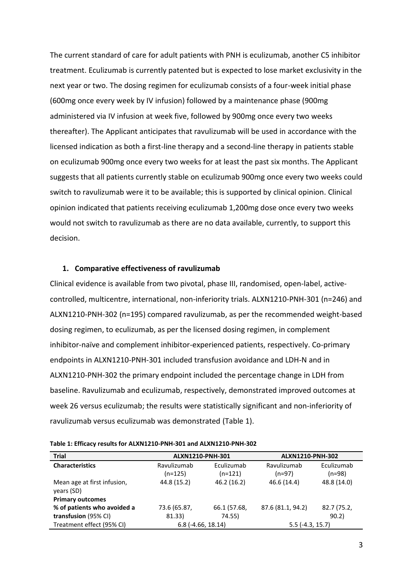The current standard of care for adult patients with PNH is eculizumab, another C5 inhibitor treatment. Eculizumab is currently patented but is expected to lose market exclusivity in the next year or two. The dosing regimen for eculizumab consists of a four-week initial phase (600mg once every week by IV infusion) followed by a maintenance phase (900mg administered via IV infusion at week five, followed by 900mg once every two weeks thereafter). The Applicant anticipates that ravulizumab will be used in accordance with the licensed indication as both a first-line therapy and a second-line therapy in patients stable on eculizumab 900mg once every two weeks for at least the past six months. The Applicant suggests that all patients currently stable on eculizumab 900mg once every two weeks could switch to ravulizumab were it to be available; this is supported by clinical opinion. Clinical opinion indicated that patients receiving eculizumab 1,200mg dose once every two weeks would not switch to ravulizumab as there are no data available, currently, to support this decision.

#### **1. Comparative effectiveness of ravulizumab**

Clinical evidence is available from two pivotal, phase III, randomised, open-label, activecontrolled, multicentre, international, non-inferiority trials. ALXN1210-PNH-301 (n=246) and ALXN1210-PNH-302 (n=195) compared ravulizumab, as per the recommended weight-based dosing regimen, to eculizumab, as per the licensed dosing regimen, in complement inhibitor-naïve and complement inhibitor-experienced patients, respectively. Co-primary endpoints in ALXN1210-PNH-301 included transfusion avoidance and LDH-N and in ALXN1210-PNH-302 the primary endpoint included the percentage change in LDH from baseline. Ravulizumab and eculizumab, respectively, demonstrated improved outcomes at week 26 versus eculizumab; the results were statistically significant and non-inferiority of ravulizumab versus eculizumab was demonstrated (Table 1).

| <b>Trial</b>                              | ALXN1210-PNH-301    |              | ALXN1210-PNH-302  |             |
|-------------------------------------------|---------------------|--------------|-------------------|-------------|
| <b>Characteristics</b>                    | Ravulizumab         | Eculizumab   | Ravulizumab       | Eculizumab  |
|                                           | $(n=125)$           | $(n=121)$    | $(n=97)$          | $(n=98)$    |
| Mean age at first infusion,<br>years (SD) | 44.8 (15.2)         | 46.2 (16.2)  | 46.6 (14.4)       | 48.8 (14.0) |
| <b>Primary outcomes</b>                   |                     |              |                   |             |
| % of patients who avoided a               | 73.6 (65.87,        | 66.1 (57.68, | 87.6 (81.1, 94.2) | 82.7 (75.2, |
| transfusion (95% CI)                      | 81.33)              | 74.55)       |                   | 90.2        |
| Treatment effect (95% CI)                 | $6.8(-4.66, 18.14)$ |              | $5.5(-4.3, 15.7)$ |             |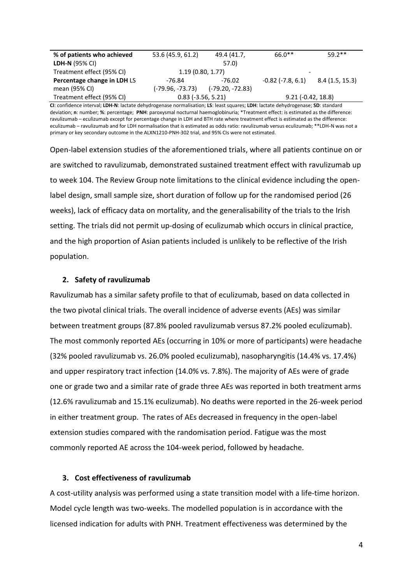| % of patients who achieved  | 53.6 (45.9, 61.2) | 49.4 (41.7,          | $66.0**$                 | $59.2**$             |  |
|-----------------------------|-------------------|----------------------|--------------------------|----------------------|--|
| <b>LDH-N (95% CI)</b>       |                   | 57.0                 |                          |                      |  |
| Treatment effect (95% CI)   | 1.19(0.80, 1.77)  |                      | $\overline{\phantom{a}}$ |                      |  |
| Percentage change in LDH LS | -76.84            | -76.02               | $-0.82$ ( $-7.8, 6.1$ )  | 8.4(1.5, 15.3)       |  |
| mean (95% CI)               | (-79.96, -73.73)  | (-79.20, -72.83)     |                          |                      |  |
| Treatment effect (95% CI)   |                   | $0.83$ (-3.56, 5.21) |                          | $9.21 (-0.42, 18.8)$ |  |

**CI**: confidence interval; **LDH-N**: lactate dehydrogenase normalisation; **LS**: least squares; **LDH**: lactate dehydrogenase; **SD**: standard deviation; **n**: number; **%**: percentage; **PNH**: paroxysmal nocturnal haemoglobinuria; \*Treatment effect: is estimated as the difference: ravulizumab – eculizumab except for percentage change in LDH and BTH rate where treatment effect is estimated as the difference: eculizumab – ravulizumab and for LDH normalisation that is estimated as odds ratio: ravulizumab versus eculizumab; \*\*LDH-N was not a primary or key secondary outcome in the ALXN1210-PNH-302 trial, and 95% CIs were not estimated.

Open-label extension studies of the aforementioned trials, where all patients continue on or are switched to ravulizumab, demonstrated sustained treatment effect with ravulizumab up to week 104. The Review Group note limitations to the clinical evidence including the openlabel design, small sample size, short duration of follow up for the randomised period (26 weeks), lack of efficacy data on mortality, and the generalisability of the trials to the Irish setting. The trials did not permit up-dosing of eculizumab which occurs in clinical practice, and the high proportion of Asian patients included is unlikely to be reflective of the Irish population.

### **2. Safety of ravulizumab**

Ravulizumab has a similar safety profile to that of eculizumab, based on data collected in the two pivotal clinical trials. The overall incidence of adverse events (AEs) was similar between treatment groups (87.8% pooled ravulizumab versus 87.2% pooled eculizumab). The most commonly reported AEs (occurring in 10% or more of participants) were headache (32% pooled ravulizumab vs. 26.0% pooled eculizumab), nasopharyngitis (14.4% vs. 17.4%) and upper respiratory tract infection (14.0% vs. 7.8%). The majority of AEs were of grade one or grade two and a similar rate of grade three AEs was reported in both treatment arms (12.6% ravulizumab and 15.1% eculizumab). No deaths were reported in the 26-week period in either treatment group. The rates of AEs decreased in frequency in the open-label extension studies compared with the randomisation period. Fatigue was the most commonly reported AE across the 104-week period, followed by headache.

### **3. Cost effectiveness of ravulizumab**

A cost-utility analysis was performed using a state transition model with a life-time horizon. Model cycle length was two-weeks. The modelled population is in accordance with the licensed indication for adults with PNH. Treatment effectiveness was determined by the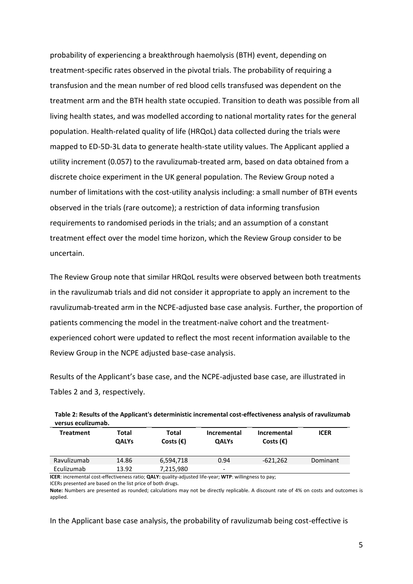probability of experiencing a breakthrough haemolysis (BTH) event, depending on treatment-specific rates observed in the pivotal trials. The probability of requiring a transfusion and the mean number of red blood cells transfused was dependent on the treatment arm and the BTH health state occupied. Transition to death was possible from all living health states, and was modelled according to national mortality rates for the general population. Health-related quality of life (HRQoL) data collected during the trials were mapped to ED-5D-3L data to generate health-state utility values. The Applicant applied a utility increment (0.057) to the ravulizumab-treated arm, based on data obtained from a discrete choice experiment in the UK general population. The Review Group noted a number of limitations with the cost-utility analysis including: a small number of BTH events observed in the trials (rare outcome); a restriction of data informing transfusion requirements to randomised periods in the trials; and an assumption of a constant treatment effect over the model time horizon, which the Review Group consider to be uncertain.

The Review Group note that similar HRQoL results were observed between both treatments in the ravulizumab trials and did not consider it appropriate to apply an increment to the ravulizumab-treated arm in the NCPE-adjusted base case analysis. Further, the proportion of patients commencing the model in the treatment-naïve cohort and the treatmentexperienced cohort were updated to reflect the most recent information available to the Review Group in the NCPE adjusted base-case analysis.

Results of the Applicant's base case, and the NCPE-adjusted base case, are illustrated in Tables 2 and 3, respectively.

| Treatment   | Total<br><b>QALYs</b> | Total<br>Costs $(\epsilon)$ | <b>Incremental</b><br><b>QALYs</b> | <b>Incremental</b><br>Costs $(\epsilon)$ | <b>ICER</b> |
|-------------|-----------------------|-----------------------------|------------------------------------|------------------------------------------|-------------|
| Ravulizumab | 14.86                 | 6,594,718                   | 0.94                               | -621,262                                 | Dominant    |
| Eculizumab  | 13.92                 | 7,215,980                   | $\overline{\phantom{0}}$           |                                          |             |

| Table 2: Results of the Applicant's deterministic incremental cost-effectiveness analysis of ravulizumab |
|----------------------------------------------------------------------------------------------------------|
| versus eculizumab.                                                                                       |

**ICER**: incremental cost-effectiveness ratio; **QALY:** quality-adjusted life-year; **WTP**: willingness to pay;

ICERs presented are based on the list price of both drugs.

**Note:** Numbers are presented as rounded; calculations may not be directly replicable. A discount rate of 4% on costs and outcomes is applied.

In the Applicant base case analysis, the probability of ravulizumab being cost-effective is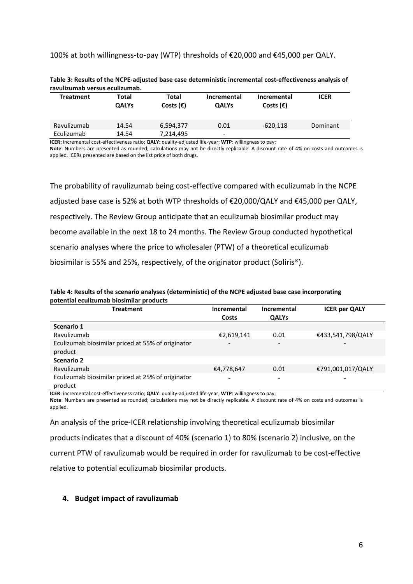### 100% at both willingness-to-pay (WTP) thresholds of €20,000 and €45,000 per QALY.

| <b>Treatment</b> | Total<br><b>QALYs</b> | Total<br>Costs $(\epsilon)$ | <b>Incremental</b><br><b>QALYs</b> | Incremental<br>Costs $(\epsilon)$ | <b>ICER</b> |
|------------------|-----------------------|-----------------------------|------------------------------------|-----------------------------------|-------------|
| Ravulizumab      | 14.54                 | 6,594,377                   | 0.01                               | $-620.118$                        | Dominant    |
| Eculizumab       | 14.54                 | 7.214.495                   | -                                  |                                   |             |
|                  |                       |                             |                                    |                                   |             |

**Table 3: Results of the NCPE-adjusted base case deterministic incremental cost-effectiveness analysis of ravulizumab versus eculizumab.**

**ICER:** incremental cost-effectiveness ratio; **QALY:** quality-adjusted life-year; **WTP**: willingness to pay; **Note**: Numbers are presented as rounded; calculations may not be directly replicable. A discount rate of 4% on costs and outcomes is applied. ICERs presented are based on the list price of both drugs.

The probability of ravulizumab being cost-effective compared with eculizumab in the NCPE adjusted base case is 52% at both WTP thresholds of €20,000/QALY and €45,000 per QALY, respectively. The Review Group anticipate that an eculizumab biosimilar product may become available in the next 18 to 24 months. The Review Group conducted hypothetical scenario analyses where the price to wholesaler (PTW) of a theoretical eculizumab biosimilar is 55% and 25%, respectively, of the originator product (Soliris®).

**Table 4: Results of the scenario analyses (deterministic) of the NCPE adjusted base case incorporating potential eculizumab biosimilar products**

| <b>Treatment</b>                                             | Incremental                  | Incremental              | <b>ICER per QALY</b>     |
|--------------------------------------------------------------|------------------------------|--------------------------|--------------------------|
|                                                              | Costs                        | <b>QALYs</b>             |                          |
| Scenario 1                                                   |                              |                          |                          |
| Ravulizumab                                                  | €2,619,141                   | 0.01                     | €433,541,798/QALY        |
| Eculizumab biosimilar priced at 55% of originator<br>product | $\qquad \qquad \blacksquare$ | $\overline{\phantom{a}}$ | $\overline{\phantom{0}}$ |
| Scenario 2                                                   |                              |                          |                          |
| Ravulizumab                                                  | €4,778,647                   | 0.01                     | €791,001,017/QALY        |
| Eculizumab biosimilar priced at 25% of originator<br>product |                              |                          |                          |

**ICER**: incremental cost-effectiveness ratio; **QALY**: quality-adjusted life-year; **WTP**: willingness to pay;

**Note**: Numbers are presented as rounded; calculations may not be directly replicable. A discount rate of 4% on costs and outcomes is applied.

An analysis of the price-ICER relationship involving theoretical eculizumab biosimilar

products indicates that a discount of 40% (scenario 1) to 80% (scenario 2) inclusive, on the

current PTW of ravulizumab would be required in order for ravulizumab to be cost-effective

relative to potential eculizumab biosimilar products.

## **4. Budget impact of ravulizumab**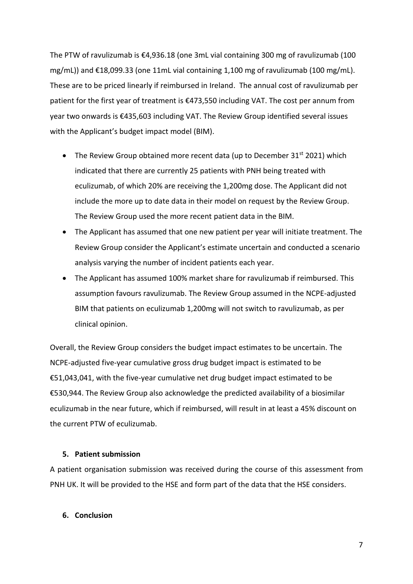The PTW of ravulizumab is €4,936.18 (one 3mL vial containing 300 mg of ravulizumab (100 mg/mL)) and €18,099.33 (one 11mL vial containing 1,100 mg of ravulizumab (100 mg/mL). These are to be priced linearly if reimbursed in Ireland. The annual cost of ravulizumab per patient for the first year of treatment is €473,550 including VAT. The cost per annum from year two onwards is €435,603 including VAT. The Review Group identified several issues with the Applicant's budget impact model (BIM).

- The Review Group obtained more recent data (up to December 31 $st$  2021) which indicated that there are currently 25 patients with PNH being treated with eculizumab, of which 20% are receiving the 1,200mg dose. The Applicant did not include the more up to date data in their model on request by the Review Group. The Review Group used the more recent patient data in the BIM.
- The Applicant has assumed that one new patient per year will initiate treatment. The Review Group consider the Applicant's estimate uncertain and conducted a scenario analysis varying the number of incident patients each year.
- The Applicant has assumed 100% market share for ravulizumab if reimbursed. This assumption favours ravulizumab. The Review Group assumed in the NCPE-adjusted BIM that patients on eculizumab 1,200mg will not switch to ravulizumab, as per clinical opinion.

Overall, the Review Group considers the budget impact estimates to be uncertain. The NCPE-adjusted five-year cumulative gross drug budget impact is estimated to be €51,043,041, with the five-year cumulative net drug budget impact estimated to be €530,944. The Review Group also acknowledge the predicted availability of a biosimilar eculizumab in the near future, which if reimbursed, will result in at least a 45% discount on the current PTW of eculizumab.

# **5. Patient submission**

A patient organisation submission was received during the course of this assessment from PNH UK. It will be provided to the HSE and form part of the data that the HSE considers.

### **6. Conclusion**